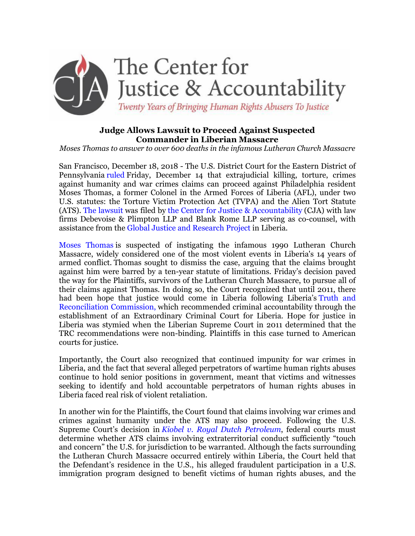

# **Judge Allows Lawsuit to Proceed Against Suspected Commander in Liberian Massacre**

*Moses Thomas to answer to over 600 deaths in the infamous Lutheran Church Massacre*

San Francisco, December 18, 2018 - The U.S. District Court for the Eastern District of Pennsylvania [ruled](https://cja.org/wp-content/uploads/2018/02/W-v.-Thomas-ECF-25-Memorandum-Opinion-Denying-MTD.pdf) Friday, December 14 that extrajudicial killing, torture, crimes against humanity and war crimes claims can proceed against Philadelphia resident Moses Thomas, a former Colonel in the Armed Forces of Liberia (AFL), under two U.S. statutes: the Torture Victim Protection Act (TVPA) and the Alien Tort Statute (ATS). [The lawsuit](https://cja.org/what-we-do/litigation/jane-v-thomas/) [w](https://cja.org/what-we-do/litigation/jane-v-thomas/)as filed by [the Center for Justice & Accountability](https://cja.org/) (CJA) with law firms Debevoise & Plimpton LLP and Blank Rome LLP serving as co-counsel, with assistance from the [Global Justice and Research Project](http://www.globaljustice-research.org/) in Liberia.

[Moses Thomas](https://cja.org/what-we-do/litigation/jane-v-thomas/perpetrator/) is suspected of instigating the infamous 1990 Lutheran Church Massacre, widely considered one of the most violent events in Liberia's 14 years of armed conflict. Thomas sought to dismiss the case, arguing that the claims brought against him were barred by a ten-year statute of limitations. Friday's decision paved the way for the Plaintiffs, survivors of the Lutheran Church Massacre, to pursue all of their claims against Thomas. In doing so, the Court recognized that until 2011, there had been hope that justice would come in Liberia following Liberia's [Truth and](https://www.usip.org/publications/2006/02/truth-commission-liberia)  [Reconciliation Commission,](https://www.usip.org/publications/2006/02/truth-commission-liberia) which recommended criminal accountability through the establishment of an Extraordinary Criminal Court for Liberia. Hope for justice in Liberia was stymied when the Liberian Supreme Court in 2011 determined that the TRC recommendations were non-binding. Plaintiffs in this case turned to American courts for justice.

Importantly, the Court also recognized that continued impunity for war crimes in Liberia, and the fact that several alleged perpetrators of wartime human rights abuses continue to hold senior positions in government, meant that victims and witnesses seeking to identify and hold accountable perpetrators of human rights abuses in Liberia faced real risk of violent retaliation.

In another win for the Plaintiffs, the Court found that claims involving war crimes and crimes against humanity under the ATS may also proceed. Following the U.S. Supreme Court's decision in *[Kiobel v. Royal Dutch Petroleum](http://www.scotusblog.com/case-files/cases/kiobel-v-royal-dutch-petroleum/)*, federal courts must determine whether ATS claims involving extraterritorial conduct sufficiently "touch and concern" the U.S. for jurisdiction to be warranted. Although the facts surrounding the Lutheran Church Massacre occurred entirely within Liberia, the Court held that the Defendant's residence in the U.S., his alleged fraudulent participation in a U.S. immigration program designed to benefit victims of human rights abuses, and the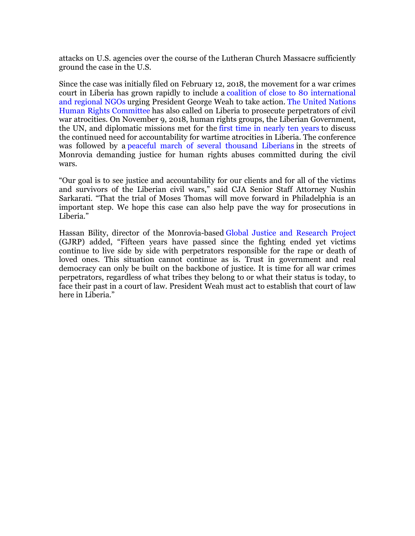attacks on U.S. agencies over the course of the Lutheran Church Massacre sufficiently ground the case in the U.S.

Since the case was initially filed on February 12, 2018, the movement for a war crimes court in Liberia has grown rapidly to include a [coalition of close to 80 international](https://cja.org/joint-letter-to-president-weah/)  [and regional NGOs](https://cja.org/joint-letter-to-president-weah/) urging President George Weah to take action. [The United Nations](https://cja.org/un-hrc-concluding-statement-pr-august2018/)  [Human Rights Committee](https://cja.org/un-hrc-concluding-statement-pr-august2018/) has also called on Liberia to prosecute perpetrators of civil war atrocities. On November 9, 2018, human rights groups, the Liberian Government, the UN, and diplomatic missions met for the [first time in nearly ten years](https://cja.org/historic-war-crimes-conference-in-liberia-brings-justice-a-big-step-closer/) to discuss the continued need for accountability for wartime atrocities in Liberia. The conference was followed by a [peaceful march of several thousand Liberians](https://frontpageafricaonline.com/liberia-war-crimes-trial/liberians-march-the-streets-of-monrovia-in-demand-for-justice-against-war-and-economic-crimes/) in the streets of Monrovia demanding justice for human rights abuses committed during the civil wars.

"Our goal is to see justice and accountability for our clients and for all of the victims and survivors of the Liberian civil wars," said CJA Senior Staff Attorney Nushin Sarkarati. "That the trial of Moses Thomas will move forward in Philadelphia is an important step. We hope this case can also help pave the way for prosecutions in Liberia."

Hassan Bility, director of the Monrovia-based [Global Justice and Research Project](http://www.globaljustice-research.org/) (GJRP) added, "Fifteen years have passed since the fighting ended yet victims continue to live side by side with perpetrators responsible for the rape or death of loved ones. This situation cannot continue as is. Trust in government and real democracy can only be built on the backbone of justice. It is time for all war crimes perpetrators, regardless of what tribes they belong to or what their status is today, to face their past in a court of law. President Weah must act to establish that court of law here in Liberia."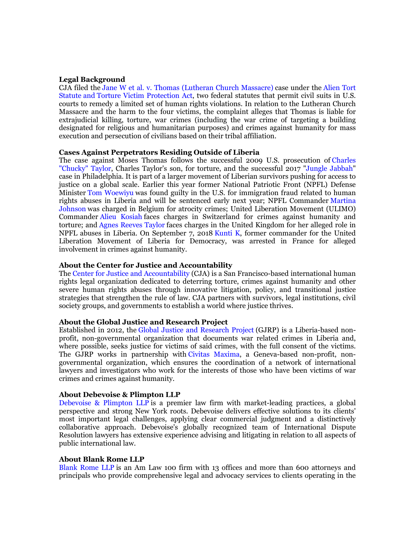#### **Legal Background**

CJA filed the [Jane W et al. v. Thomas \(Lutheran Church Massacre\)](https://cja.org/what-we-do/litigation/jane-v-thomas/) case under the [Alien Tort](https://cja.org/what-we-do/litigation/legal-strategy/the-alien-tort-statute/)  [Statute](https://cja.org/what-we-do/litigation/legal-strategy/the-alien-tort-statute/) and [Torture Victim Protection Act,](https://www.asil.org/sites/default/files/benchbook/humanrights2.pdf) two federal statutes that permit civil suits in U.S. courts to remedy a limited set of human rights violations. In relation to the Lutheran Church Massacre and the harm to the four victims, the complaint alleges that Thomas is liable for extrajudicial killing, torture, war crimes (including the war crime of targeting a building designated for religious and humanitarian purposes) and crimes against humanity for mass execution and persecution of civilians based on their tribal affiliation.

#### **Cases Against Perpetrators Residing Outside of Liberia**

The case against Moses Thomas follows the successful 2009 U.S. prosecution of [Charles](http://cja.org/where-we-work/liberia/us-v-belfast/)  ["Chucky" Taylor,](http://cja.org/where-we-work/liberia/us-v-belfast/) Charles Taylor's son, for torture, and the successful 2017 ["Jungle Jabbah"](http://www.philly.com/philly/news/pennsylvania/philadelphia/delco-man-guilty-of-immigration-fraud-in-jungle-jabbah-war-crimes-case-20171018.html) case in Philadelphia. It is part of a larger movement of Liberian survivors pushing for access to justice on a global scale. Earlier this year former National Patriotic Front (NPFL) Defense Minister [Tom Woewiyu](https://frontpageafricaonline.com/liberia-war-crimes-trial/thomas-woewiyu-found-guilty-on-11-counts-in-philadelphia/) was found guilty in the U.S. for immigration fraud related to human rights abuses in Liberia and will be sentenced early next year; NPFL Commander [Martina](https://www.theguardian.com/global-development/2014/oct/07/martina-johnson-liberia-war-crimes-trial)  [Johnson](https://www.theguardian.com/global-development/2014/oct/07/martina-johnson-liberia-war-crimes-trial) was charged in Belgium for atrocity crimes; United Liberation Movement (ULIMO) Commander [Alieu Kosiah](https://www.nytimes.com/2015/01/17/world/africa/a-former-commander-of-liberian-rebels-is-arrested-in-switzerland.html) faces charges in Switzerland for crimes against humanity and torture; and [Agnes Reeves Taylor](https://www.hrw.org/news/2017/06/03/liberia-uk-arrest-civil-war-crimes-step-justice) faces charges in the United Kingdom for her alleged role in NPFL abuses in Liberia. On September 7, 2018 [Kunti K,](https://www.civitas-maxima.org/sites/default/files/docs/2018-09/kunti_k._arrest_in_paris.pdf) former commander for the United Liberation Movement of Liberia for Democracy, was arrested in France for alleged involvement in crimes against humanity.

### **About the Center for Justice and Accountability**

The [Center for Justice and Accountability](http://cja.org/) (CJA) is a San Francisco-based international human rights legal organization dedicated to deterring torture, crimes against humanity and other severe human rights abuses through innovative litigation, policy, and transitional justice strategies that strengthen the rule of law. CJA partners with survivors, legal institutions, civil society groups, and governments to establish a world where justice thrives.

### **About the Global Justice and Research Project**

Established in 2012, the [Global Justice and Research Project](http://www.globaljustice-research.org/) (GJRP) is a Liberia-based nonprofit, non-governmental organization that documents war related crimes in Liberia and, where possible, seeks justice for victims of said crimes, with the full consent of the victims. The GJRP works in partnership with [Civitas Maxima,](https://www.civitas-maxima.org/en) a Geneva-based non-profit, nongovernmental organization, which ensures the coordination of a network of international lawyers and investigators who work for the interests of those who have been victims of war crimes and crimes against humanity.

### **About Debevoise & Plimpton LLP**

[Debevoise & Plimpton LLP](https://www.debevoise.com/) is a premier law firm with market-leading practices, a global perspective and strong New York roots. Debevoise delivers effective solutions to its clients' most important legal challenges, applying clear commercial judgment and a distinctively collaborative approach. Debevoise's globally recognized team of International Dispute Resolution lawyers has extensive experience advising and litigating in relation to all aspects of public international law.

#### **About Blank Rome LLP**

[Blank Rome LLP](https://www.blankrome.com/) is an Am Law 100 firm with 13 offices and more than 600 attorneys and principals who provide comprehensive legal and advocacy services to clients operating in the